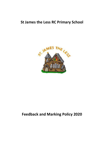## **St James the Less RC Primary School**



# **Feedback and Marking Policy 2020**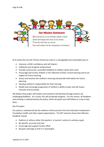

At St James the Less RC Primary School we mark in a manageable and sustainable way to:

- Improve a child's confidence and self esteem
- Celebrate and recognise achievement
- Provide constructive, accessible feedback to children about their work
- Encourage and involve children in the reflection of their current learning and to set targets for future learning
- Assess and monitor the children's learning and provide information for future planning
- Develop children's responsibility for their learning
- Model and encourage progression of children's ability to peer and self-assess honestly and accurately.

We believe that pupils' self-esteem and resilience will develop through positive yet challenging feedback. As a result, this will accelerate progress. For this reason, all feedback and marking is underpinned by this policy, which all pupils and staff follow on a day to day basis.

#### Key Principles

Our policy is underpinned by the evidence of best practice from the Education Endowment Foundation toolkit and other expert organisations. The EEF research shows that effective feedback should:

- Redirect or refocus either the teachers' or learner's actions to achieve a goal
- Be specific, accurate and clear
- Encourage and support further effort
- Be given sparingly so that it is meaningful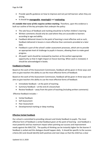- Provide specific guidance on how to improve and not just tell learners when they are wrong.
- It should be **manageable**, **meaningful** and **motivating**.

It's notable that none of this requires written marking. Therefore, upon this evidence is built our outline of the key principles that underpin the policy:

- The sole focus of feedback and marking should be to further children's learning
- Written comments should only be used where they are accessible to learners according to age and ability.
- Feedback delivered closest to the point of learning is most effective and as such, feedback delivered in lessons is more effective than comments provided at a later date.
- Feedback is part of the school's wider assessment processes, which aim to provide an appropriate level of challenge to pupils in lessons, allowing them to make good progress.
- All pupils' work should be reviewed by teachers at the earliest appropriate opportunity so that it might impact on future learning. When work is reviewed, it should be acknowledged in books.

#### **Feedback in Practice**

Based on the work of the Assessment Commission, feedback will be given in three ways and aims to give teachers the ability to use the most effective forms of feedback:

Based on the work of the Assessment Commission, feedback will be given in three ways and aims to give teachers the ability to use the most effective forms of feedback:

- $\bullet$  Immediate feedback at the point of teaching
- Summary feedback at the end of a lesson/task
- Review feedback away from the point of teaching (including written comments)

Effective feedback includes –

- Verbal feedback
- Self Assessment
- Peer Assessment
- Developmental marking or deep marking

#### **Effective Verbal Feedback**

Our school is committed to providing relevant and timely feedback to pupils. The most effective form of feedback is verbal feedback given at the point of learning - oral feedback is most powerful and has maximum impact when pointing out success and improvement needs against the WALT/SC. The quality of thinking can be instantly higher for the learner if feedback is verbal and this dialogue should happen daily. It should be specific to the success criteria (SC) and should identify both positives and next steps so that the child has a clear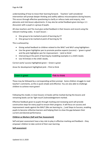understanding of how to move their learning forward. Teachers' well considered intervention will prompt deeper thinking and swiftly address misconceptions during lessons. This occurs through effective questioning to clarify or refocus tasks and enquiry, mini plenaries and mid-lesson adjustments. It may also be verbal feedback given during a 1:1 discussion with a pupil or a group of pupils.

All class teachers and TAs must give verbal feedback in their lessons and record using the relevant marking codes. In each lesson: -

- One group to be marked at point of learning by CT
- One group to be marked at point of learning by TA

This is achieved by:

- Giving verbal feedback to children related to the WALT and WILF using highlighters
- Use the green highlighter pen to promote positive aspects (success) 'green is great' and the pink highlighter pen for improvement – 'pink to think'.
- Intervening at the point of learning by modelling examples in a child's books
- Use VF/initials in the child's books.

Correct work/ success highlighted green – Green is great

Areas for development highlighted pink – Pink to think

**Green** is great

**Pink to think** 

These may be followed by a corresponding written prompt. Some children struggle to read teacher's comments, so this is quick simple and effective. You are also able to challenge children to achieve more green!

Following this model, in most lessons 12 books will be marked during the lessons and remaining books can be 'light touch'/acknowledgement marked.

Effective feedback given to pupils through marking and reviewing work will provide constructive steps for every pupil to ensure their progress. It will focus on success and improvement needs against the WALT (We are learning to….) and Steps to Success, enabling pupils to become reflective learners and helping them to close the gap between their current and desired performance.

#### **Children as Markers (Self and Peer Assessment)**

Self and peer assessment have a key role to play in effective marking and feedback – they empower children to take control of their own learning.

#### **Self-assessment**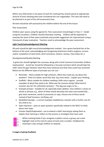Before any child hands in any piece of work for marking they should spend an appropriate amount of time checking they have considered the non-negotiables. This time will need to be planned in as part of the self-assessment time.

All work should be self-assessed by the children before the end of the lesson.

#### Peer Assessment

Children peer assess using the agreed SC. Peer assessment should begin in Year 2 – model using the visualisers. Children should initial peer marking. Children will be expected to evaluate the work of their peers positively and provide suggestions for improvement using a framework of peer evaluation. Teachers need to acknowledge the peer assessment.

#### **Light Touch/acknowledgement Marking**

All work should be light touch/acknowledgement marked. Use a green bar/pink bar at the bottom of the work, acknowledging and recognising attainment and/or progress, success and/or completion of work (ticks, brief comments, stickers, stamps, Class Dojos etc.,)

#### Developmental/Quality Marking

A green bar should highlight the successes along with a brief comment (remember children need praise!). A pink bar should be followed by a focused comment which should help the child 'close the gap' between what they have achieved and what they could have achieved. Below are the different types of prompts you can use: -

- Reminder Most suitable for high achievers. What else could you say about the weather? Think of a better word than bad. Say more about... Explain your thinking....
- Scaffold Most suitable for children needing a little more support provide examples of what they need to do. What was the monster doing? What kind of monster was he? An unfinished sentence – The dog was angry so he….
- Example prompt Suitable for all, especially lower abilities. Give children a choice of words or phrases e.g., which of these words describes the taste more powerfully…. give exact sentences, words or processes to copy. Choose one of these words instead of bad Ferocious, terrifying, evil
- Modelled Example a correct example modelled by a teacher with a further one for the child to try
- Open Question pose an open question specifically related to the WALT to think about next steps
- Greater Depth/Explanation– use to extend a child's learning by asking them to explain their learning or reflect on the process or strategies they have used



Whilst marking books if you recognise a pattern across a group, put a pink highlight mark at the end of a piece of work and a number. Feedback the meaning in class and get children to respond.

#### **5 stages of giving feedback**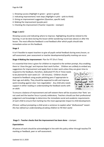- 1. Showing success (Highlight in green green is great)
- 2. Indicating improvement/ next steps (Highlight in pink pink to think)
- 3. Giving an improvement suggestion (Question, specific task)
- 4. Making the improvement (purple pen)
- 5. Checking the improvement (Teacher responds stamper)

#### **Stage 1 and 2**

Showing success and indicating where to improve. Highlighting should be related to the learning. It can be done during the lesson whilst wandering round (see above) or after the lesson. The most effective feedback is oral feedback after which pupils should take immediate action on this feedback.

#### **Stage 3**

It isn't feasible to expect teachers to give all pupils verbal feedback during every lesson, so self-assessment, peer assessment or teacher developmental/quality marking can occur.

#### **Stage 4 Making the improvement**- Plan for FIT (Fix it Time)

It is essential that time is given for children to respond to the written prompt, thus enabling them to 'close the gap' and improve their work further. Children are unlikely to embed any suggestions for improvement and apply them to later work unless they are given time to

respond to the feedback, therefore, dedicated FIT (Fix It Time) needs to be planned for each week (15 – 20 minutes). Children should respond to feedback using purple polishing pens if appropriate to their age and ability. They should be expected to edit and improve work including against class 'non-negotiables'. Any child who needs support in either reading or understanding the feedback works with an adult.



To ensure a balance of improvement and self-esteem there will be occasions that 'fixits' are not used and the teacher focus is purely celebratory. Teachers should use their professional judgement and knowledge to determine the immediate social and academic requirements of each child to ensure that marking has the most appropriate impact to child development.

*(Picture: without prompting a child wrote a sentence to explain what "disillusioned" meantthis has refined our understanding of asking children to FIX their work)*

#### **Stage 5 - Teacher checks that the improvement has been done** – stamper.

#### *Expectations*

All pieces of work should be acknowledged in line with this policy either through teacher/TA marking or feedback, peer or self-assessment.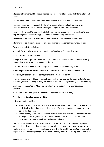All pieces of work should be acknowledged before the next lesson i.e., daily for English and Maths.

For English and Maths there should be a fair balance of teacher and child marking.

Teachers should be conscious of checking the quality of peer and self-assessments. Teachers need to model successful strategies and praise successful peer work.

Supply teachers need to mark and initial all work. Avoid expecting supply teachers to mark long writing tasks (WOW writing) – this should be marked by yourselves.

All marking to be carried out in a colour pen distinguishable from the child's work.

All marking to be done in a clear, legible hand aligned to the school handwriting script.

The marking code to be followed.

ALL pupils' work to be at least 'light' marked by Teacher or Teaching Assistant.

No work should be left unmarked.

In **English, at least 1 piece of work** per pupil should be marked in depth per week. Weekly independent writing MUST be marked in depth.

In **Maths, at least 1 piece of work** per pupil should be developmentally marked

In **RE two pieces of the REVEAL section** of Come and See should be marked in depth.

In **Science, at least two pieces per topic** should be marked in depth.

In Learning Journeys and Foundation subjects work will be marked developmentally twice in each topic/theme/Learning Journey. All work will be acknowledged with light touch marking

Marking will be adapted in Y2 and Y6 from Term 3 onwards in line with moderation guidance.

In EYFS use of pink and green marking in RE, stampers for WOW writing

#### **Procedures for Developmental Marking**

In developmental marking:

- When identifying specific success, the respective work in the pupils' book (literacy or maths) will be identified in green highlighter. The corresponding comment will also be highlighted green.
- When identifying an area for specific improvement or extension the respective work in the pupils' book (literacy or maths) will be identified in pink highlighter. The corresponding comment will also be highlighted pink

There will be a **maximum** of 2 identified specific areas for both pink and green highlighting for each piece of work. Feedback comments must be constructed to require response by pupils, at an appropriate level of challenge, and such tasks must be completed by pupils. If a response is required for spelling no more than 3 spelling corrections for a piece of work will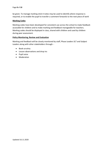be given. To manage marking stick-it notes may be used to identify where response is required, or to enable the pupil to transfer a comment forwards to the next piece of work

#### **Marking Codes**

Marking codes have been developed for consistent use across the school to make feedback accessible for children and to make marking and feedback manageable for teachers. Marking codes should be displayed in class, shared with children and used by children during peer assessment.

#### **Policy Monitoring, Review and Evaluation**

Marking and feedback will be closely monitored by staff, Phase Leaders SLT and Subject Leaders along with other stakeholders through: -

- Book scrutiny
- Lesson observations and drop ins
- Pupil voice
- Moderation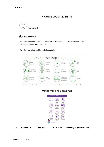### **MARKING CODES - KS1/EYFS**



#### (S) = supported work

VF - Verbal feedback. There has been verbal dialogue about the work between the child and the adult. Adult to initial.



#### Writing next step marking include symbols:

### Maths Marking Codes K51



NOTE: Any person other than the class teacher must initial their marking of children's work